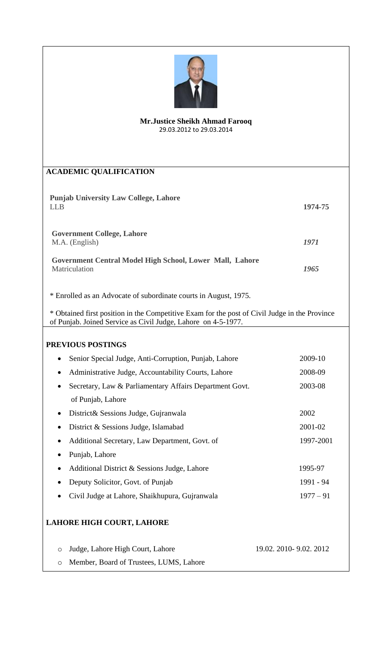

## **Mr.Justice Sheikh Ahmad Farooq** 29.03.2012 to 29.03.2014

| <b>ACADEMIC QUALIFICATION</b>                                                                 |                         |  |
|-----------------------------------------------------------------------------------------------|-------------------------|--|
|                                                                                               |                         |  |
| <b>Punjab University Law College, Lahore</b><br><b>LLB</b>                                    | 1974-75                 |  |
|                                                                                               |                         |  |
| <b>Government College, Lahore</b>                                                             |                         |  |
| M.A. (English)                                                                                | 1971                    |  |
| Government Central Model High School, Lower Mall, Lahore                                      |                         |  |
| Matriculation                                                                                 | 1965                    |  |
|                                                                                               |                         |  |
| * Enrolled as an Advocate of subordinate courts in August, 1975.                              |                         |  |
| * Obtained first position in the Competitive Exam for the post of Civil Judge in the Province |                         |  |
| of Punjab. Joined Service as Civil Judge, Lahore on 4-5-1977.                                 |                         |  |
|                                                                                               |                         |  |
| PREVIOUS POSTINGS                                                                             |                         |  |
| Senior Special Judge, Anti-Corruption, Punjab, Lahore<br>$\bullet$                            | 2009-10                 |  |
| Administrative Judge, Accountability Courts, Lahore<br>$\bullet$                              | 2008-09                 |  |
| Secretary, Law & Parliamentary Affairs Department Govt.                                       | 2003-08                 |  |
| of Punjab, Lahore                                                                             |                         |  |
| District & Sessions Judge, Gujranwala<br>$\bullet$                                            | 2002                    |  |
| District & Sessions Judge, Islamabad                                                          | 2001-02                 |  |
| Additional Secretary, Law Department, Govt. of                                                | 1997-2001               |  |
| Punjab, Lahore                                                                                |                         |  |
| Additional District & Sessions Judge, Lahore                                                  | 1995-97                 |  |
| Deputy Solicitor, Govt. of Punjab                                                             | 1991 - 94               |  |
| Civil Judge at Lahore, Shaikhupura, Gujranwala                                                | $1977 - 91$             |  |
|                                                                                               |                         |  |
| LAHORE HIGH COURT, LAHORE                                                                     |                         |  |
|                                                                                               |                         |  |
| Judge, Lahore High Court, Lahore<br>$\circ$                                                   | 19.02. 2010- 9.02. 2012 |  |
| Member, Board of Trustees, LUMS, Lahore<br>$\circ$                                            |                         |  |